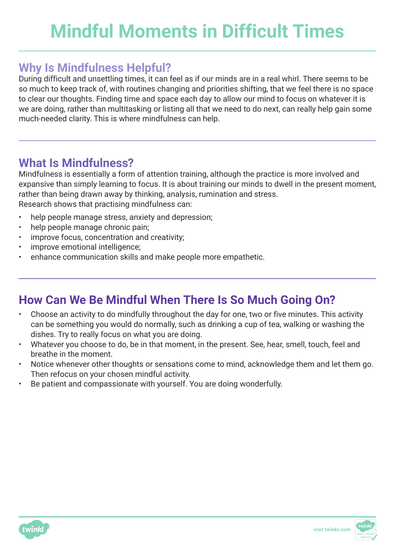## **Why Is Mindfulness Helpful?**

During difficult and unsettling times, it can feel as if our minds are in a real whirl. There seems to be so much to keep track of, with routines changing and priorities shifting, that we feel there is no space to clear our thoughts. Finding time and space each day to allow our mind to focus on whatever it is we are doing, rather than multitasking or listing all that we need to do next, can really help gain some much-needed clarity. This is where mindfulness can help.

## **What Is Mindfulness?**

Mindfulness is essentially a form of attention training, although the practice is more involved and expansive than simply learning to focus. It is about training our minds to dwell in the present moment, rather than being drawn away by thinking, analysis, rumination and stress. Research shows that practising mindfulness can:

- help people manage stress, anxiety and depression;
- help people manage chronic pain;
- improve focus, concentration and creativity;
- improve emotional intelligence;
- enhance communication skills and make people more empathetic.

## **How Can We Be Mindful When There Is So Much Going On?**

- Choose an activity to do mindfully throughout the day for one, two or five minutes. This activity can be something you would do normally, such as drinking a cup of tea, walking or washing the dishes. Try to really focus on what you are doing.
- Whatever you choose to do, be in that moment, in the present. See, hear, smell, touch, feel and breathe in the moment.
- Notice whenever other thoughts or sensations come to mind, acknowledge them and let them go. Then refocus on your chosen mindful activity.
- Be patient and compassionate with yourself. You are doing wonderfully.



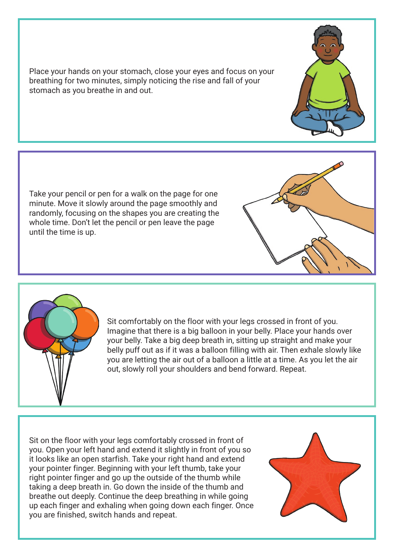Place your hands on your stomach, close your eyes and focus on your breathing for two minutes, simply noticing the rise and fall of your stomach as you breathe in and out.

Take your pencil or pen for a walk on the page for one minute. Move it slowly around the page smoothly and randomly, focusing on the shapes you are creating the whole time. Don't let the pencil or pen leave the page until the time is up.



Sit comfortably on the floor with your legs crossed in front of you. Imagine that there is a big balloon in your belly. Place your hands over your belly. Take a big deep breath in, sitting up straight and make your belly puff out as if it was a balloon filling with air. Then exhale slowly like you are letting the air out of a balloon a little at a time. As you let the air out, slowly roll your shoulders and bend forward. Repeat.

Sit on the floor with your legs comfortably crossed in front of you. Open your left hand and extend it slightly in front of you so it looks like an open starfish. Take your right hand and extend your pointer finger. Beginning with your left thumb, take your right pointer finger and go up the outside of the thumb while taking a deep breath in. Go down the inside of the thumb and breathe out deeply. Continue the deep breathing in while going up each finger and exhaling when going down each finger. Once you are finished, switch hands and repeat.